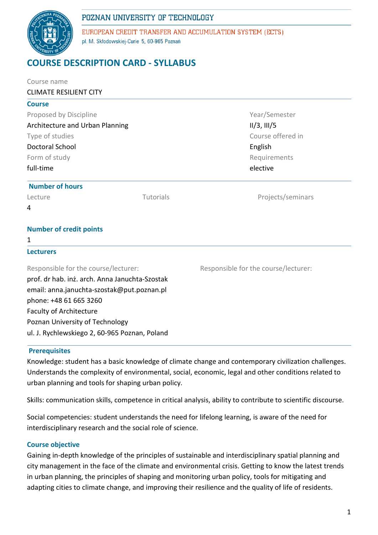# POZNAN UNIVERSITY OF TECHNOLOGY



EUROPEAN CREDIT TRANSFER AND ACCUMULATION SYSTEM (ECTS) pl. M. Skłodowskiej-Curie 5, 60-965 Poznań

# **COURSE DESCRIPTION CARD - SYLLABUS**

| Course name                                    |           |                                      |  |  |  |
|------------------------------------------------|-----------|--------------------------------------|--|--|--|
| <b>CLIMATE RESILIENT CITY</b>                  |           |                                      |  |  |  |
| <b>Course</b>                                  |           |                                      |  |  |  |
| Proposed by Discipline                         |           | Year/Semester                        |  |  |  |
| Architecture and Urban Planning                |           | II/3, III/5                          |  |  |  |
| Type of studies                                |           | Course offered in                    |  |  |  |
| <b>Doctoral School</b>                         |           | English                              |  |  |  |
| Form of study                                  |           | Requirements                         |  |  |  |
| full-time                                      |           | elective                             |  |  |  |
| <b>Number of hours</b>                         |           |                                      |  |  |  |
| Lecture                                        | Tutorials | Projects/seminars                    |  |  |  |
| 4                                              |           |                                      |  |  |  |
| <b>Number of credit points</b>                 |           |                                      |  |  |  |
| 1                                              |           |                                      |  |  |  |
| <b>Lecturers</b>                               |           |                                      |  |  |  |
| Responsible for the course/lecturer:           |           | Responsible for the course/lecturer: |  |  |  |
| prof. dr hab. inż. arch. Anna Januchta-Szostak |           |                                      |  |  |  |
| email: anna.januchta-szostak@put.poznan.pl     |           |                                      |  |  |  |
| phone: +48 61 665 3260                         |           |                                      |  |  |  |
| <b>Faculty of Architecture</b>                 |           |                                      |  |  |  |
| Poznan University of Technology                |           |                                      |  |  |  |
| ul. J. Rychlewskiego 2, 60-965 Poznan, Poland  |           |                                      |  |  |  |

## **Prerequisites**

Knowledge: student has a basic knowledge of climate change and contemporary civilization challenges. Understands the complexity of environmental, social, economic, legal and other conditions related to urban planning and tools for shaping urban policy.

Skills: communication skills, competence in critical analysis, ability to contribute to scientific discourse.

Social competencies: student understands the need for lifelong learning, is aware of the need for interdisciplinary research and the social role of science.

## **Course objective**

Gaining in-depth knowledge of the principles of sustainable and interdisciplinary spatial planning and city management in the face of the climate and environmental crisis. Getting to know the latest trends in urban planning, the principles of shaping and monitoring urban policy, tools for mitigating and adapting cities to climate change, and improving their resilience and the quality of life of residents.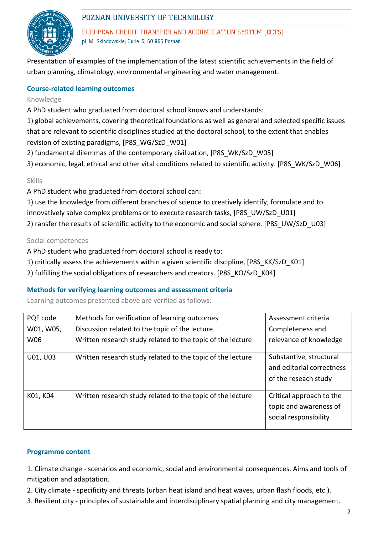

# POZNAN UNIVERSITY OF TECHNOLOGY

EUROPEAN CREDIT TRANSFER AND ACCUMULATION SYSTEM (ECTS) pl. M. Skłodowskiej-Curie 5, 60-965 Poznań

Presentation of examples of the implementation of the latest scientific achievements in the field of urban planning, climatology, environmental engineering and water management.

## **Course-related learning outcomes**

#### Knowledge

A PhD student who graduated from doctoral school knows and understands:

1) global achievements, covering theoretical foundations as well as general and selected specific issues that are relevant to scientific disciplines studied at the doctoral school, to the extent that enables revision of existing paradigms, [P8S\_WG/SzD\_W01]

2) fundamental dilemmas of the contemporary civilization, [P8S\_WK/SzD\_W05]

3) economic, legal, ethical and other vital conditions related to scientific activity. [P8S\_WK/SzD\_W06]

#### Skills

A PhD student who graduated from doctoral school can:

1) use the knowledge from different branches of science to creatively identify, formulate and to innovatively solve complex problems or to execute research tasks, [P8S\_UW/SzD\_U01] 2) ransfer the results of scientific activity to the economic and social sphere. [P8S\_UW/SzD\_U03]

Social competences

A PhD student who graduated from doctoral school is ready to:

1) critically assess the achievements within a given scientific discipline, [P8S\_KK/SzD\_K01]

2) fulfilling the social obligations of researchers and creators. [P8S\_KO/SzD\_K04]

## **Methods for verifying learning outcomes and assessment criteria**

Learning outcomes presented above are verified as follows:

| PQF code  | Methods for verification of learning outcomes              | Assessment criteria                                                          |  |
|-----------|------------------------------------------------------------|------------------------------------------------------------------------------|--|
| W01, W05, | Discussion related to the topic of the lecture.            | Completeness and                                                             |  |
| W06       | Written research study related to the topic of the lecture | relevance of knowledge                                                       |  |
| U01, U03  | Written research study related to the topic of the lecture | Substantive, structural<br>and editorial correctness<br>of the reseach study |  |
| K01, K04  | Written research study related to the topic of the lecture | Critical approach to the<br>topic and awareness of<br>social responsibility  |  |

## **Programme content**

1. Climate change - scenarios and economic, social and environmental consequences. Aims and tools of mitigation and adaptation.

2. City climate - specificity and threats (urban heat island and heat waves, urban flash floods, etc.).

3. Resilient city - principles of sustainable and interdisciplinary spatial planning and city management.